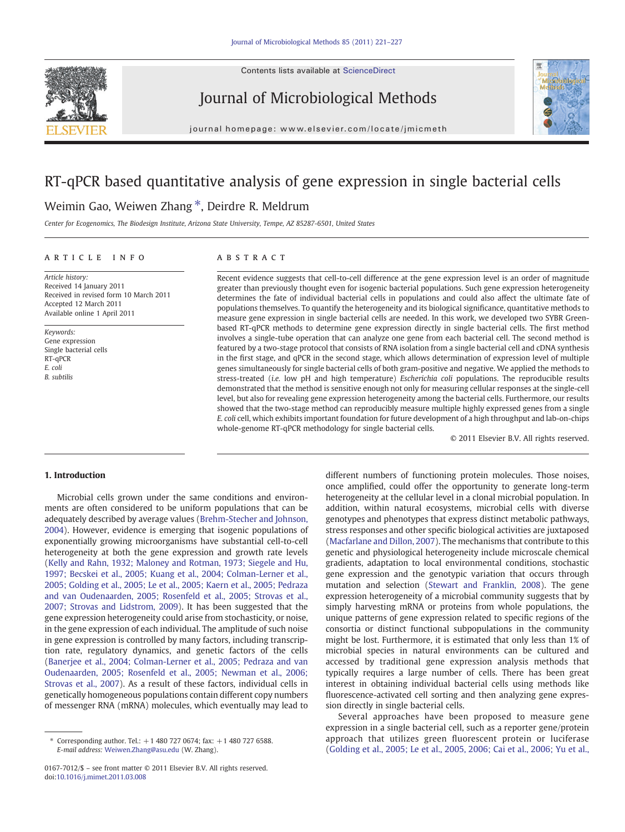

Journal of Microbiological Methods



journal homepage: www.elsevier.com/locate/jmicmeth

# RT-qPCR based quantitative analysis of gene expression in single bacterial cells

# Weimin Gao, Weiwen Zhang  $*$ , Deirdre R. Meldrum

Center for Ecogenomics, The Biodesign Institute, Arizona State University, Tempe, AZ 85287-6501, United States

# article info abstract

Article history: Received 14 January 2011 Received in revised form 10 March 2011 Accepted 12 March 2011 Available online 1 April 2011

Keywords: Gene expression Single bacterial cells RT-qPCR E. coli B. subtilis

Recent evidence suggests that cell-to-cell difference at the gene expression level is an order of magnitude greater than previously thought even for isogenic bacterial populations. Such gene expression heterogeneity determines the fate of individual bacterial cells in populations and could also affect the ultimate fate of populations themselves. To quantify the heterogeneity and its biological significance, quantitative methods to measure gene expression in single bacterial cells are needed. In this work, we developed two SYBR Greenbased RT-qPCR methods to determine gene expression directly in single bacterial cells. The first method involves a single-tube operation that can analyze one gene from each bacterial cell. The second method is featured by a two-stage protocol that consists of RNA isolation from a single bacterial cell and cDNA synthesis in the first stage, and qPCR in the second stage, which allows determination of expression level of multiple genes simultaneously for single bacterial cells of both gram-positive and negative. We applied the methods to stress-treated (i.e. low pH and high temperature) Escherichia coli populations. The reproducible results demonstrated that the method is sensitive enough not only for measuring cellular responses at the single-cell level, but also for revealing gene expression heterogeneity among the bacterial cells. Furthermore, our results showed that the two-stage method can reproducibly measure multiple highly expressed genes from a single E. coli cell, which exhibits important foundation for future development of a high throughput and lab-on-chips whole-genome RT-qPCR methodology for single bacterial cells.

© 2011 Elsevier B.V. All rights reserved.

# 1. Introduction

Microbial cells grown under the same conditions and environments are often considered to be uniform populations that can be adequately described by average values ([Brehm-Stecher and Johnson,](#page-6-0) [2004\)](#page-6-0). However, evidence is emerging that isogenic populations of exponentially growing microorganisms have substantial cell-to-cell heterogeneity at both the gene expression and growth rate levels [\(Kelly and Rahn, 1932; Maloney and Rotman, 1973; Siegele and Hu,](#page-6-0) [1997; Becskei et al., 2005; Kuang et al., 2004; Colman-Lerner et al.,](#page-6-0) [2005; Golding et al., 2005; Le et al., 2005; Kaern et al., 2005; Pedraza](#page-6-0) [and van Oudenaarden, 2005; Rosenfeld et al., 2005; Strovas et al.,](#page-6-0) [2007; Strovas and Lidstrom, 2009\)](#page-6-0). It has been suggested that the gene expression heterogeneity could arise from stochasticity, or noise, in the gene expression of each individual. The amplitude of such noise in gene expression is controlled by many factors, including transcription rate, regulatory dynamics, and genetic factors of the cells [\(Banerjee et al., 2004; Colman-Lerner et al., 2005; Pedraza and van](#page-6-0) [Oudenaarden, 2005; Rosenfeld et al., 2005; Newman et al., 2006;](#page-6-0) [Strovas et al., 2007\)](#page-6-0). As a result of these factors, individual cells in genetically homogeneous populations contain different copy numbers of messenger RNA (mRNA) molecules, which eventually may lead to

different numbers of functioning protein molecules. Those noises, once amplified, could offer the opportunity to generate long-term heterogeneity at the cellular level in a clonal microbial population. In addition, within natural ecosystems, microbial cells with diverse genotypes and phenotypes that express distinct metabolic pathways, stress responses and other specific biological activities are juxtaposed [\(Macfarlane and Dillon, 2007\)](#page-6-0). The mechanisms that contribute to this genetic and physiological heterogeneity include microscale chemical gradients, adaptation to local environmental conditions, stochastic gene expression and the genotypic variation that occurs through mutation and selection ([Stewart and Franklin, 2008](#page-6-0)). The gene expression heterogeneity of a microbial community suggests that by simply harvesting mRNA or proteins from whole populations, the unique patterns of gene expression related to specific regions of the consortia or distinct functional subpopulations in the community might be lost. Furthermore, it is estimated that only less than 1% of microbial species in natural environments can be cultured and accessed by traditional gene expression analysis methods that typically requires a large number of cells. There has been great interest in obtaining individual bacterial cells using methods like fluorescence-activated cell sorting and then analyzing gene expression directly in single bacterial cells.

Several approaches have been proposed to measure gene expression in a single bacterial cell, such as a reporter gene/protein approach that utilizes green fluorescent protein or luciferase [\(Golding et al., 2005; Le et al., 2005, 2006; Cai et al., 2006; Yu et al.,](#page-6-0)

Corresponding author. Tel.:  $+1$  480 727 0674; fax:  $+1$  480 727 6588. E-mail address: [Weiwen.Zhang@asu.edu](mailto:Weiwen.Zhang@asu.edu) (W. Zhang).

<sup>0167-7012/\$</sup> – see front matter © 2011 Elsevier B.V. All rights reserved. doi:[10.1016/j.mimet.2011.03.008](http://dx.doi.org/10.1016/j.mimet.2011.03.008)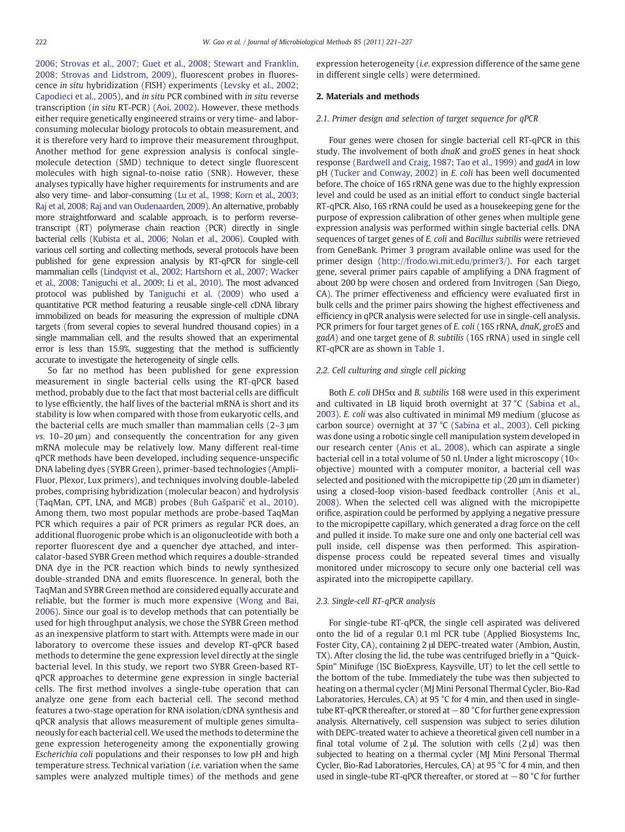[2006; Strovas et al., 2007; Guet et al., 2008; Stewart and Franklin,](#page-6-0) [2008; Strovas and Lidstrom, 2009](#page-6-0)), fluorescent probes in fluorescence in situ hybridization (FISH) experiments ([Levsky et al., 2002;](#page-6-0) [Capodieci et al., 2005\)](#page-6-0), and in situ PCR combined with in situ reverse transcription (in situ RT-PCR) [\(Aoi, 2002](#page-6-0)). However, these methods either require genetically engineered strains or very time- and laborconsuming molecular biology protocols to obtain measurement, and it is therefore very hard to improve their measurement throughput. Another method for gene expression analysis is confocal singlemolecule detection (SMD) technique to detect single fluorescent molecules with high signal-to-noise ratio (SNR). However, these analyses typically have higher requirements for instruments and are also very time- and labor-consuming ([Lu et al., 1998; Korn et al., 2003;](#page-6-0) [Raj et al, 2008; Raj and van Oudenaarden, 2009](#page-6-0)). An alternative, probably more straightforward and scalable approach, is to perform reversetranscript (RT) polymerase chain reaction (PCR) directly in single bacterial cells ([Kubista et al., 2006; Nolan et al., 2006](#page-6-0)). Coupled with various cell sorting and collecting methods, several protocols have been published for gene expression analysis by RT-qPCR for single-cell mammalian cells [\(Lindqvist et al., 2002; Hartshorn et al., 2007; Wacker](#page-6-0) [et al., 2008; Taniguchi et al., 2009; Li et al., 2010\)](#page-6-0). The most advanced protocol was published by [Taniguchi et al. \(2009\)](#page-6-0) who used a quantitative PCR method featuring a reusable single-cell cDNA library immobilized on beads for measuring the expression of multiple cDNA targets (from several copies to several hundred thousand copies) in a single mammalian cell, and the results showed that an experimental error is less than 15.9%, suggesting that the method is sufficiently accurate to investigate the heterogeneity of single cells.

So far no method has been published for gene expression measurement in single bacterial cells using the RT-qPCR based method, probably due to the fact that most bacterial cells are difficult to lyse efficiently, the half lives of the bacterial mRNA is short and its stability is low when compared with those from eukaryotic cells, and the bacterial cells are much smaller than mammalian cells (2–3 μm vs. 10–20 μm) and consequently the concentration for any given mRNA molecule may be relatively low. Many different real-time qPCR methods have been developed, including sequence-unspecific DNA labeling dyes (SYBR Green), primer-based technologies (Ampli-Fluor, Plexor, Lux primers), and techniques involving double-labeled probes, comprising hybridization (molecular beacon) and hydrolysis (TaqMan, CPT, LNA, and MGB) probes (Buh Gašparič [et al., 2010](#page-6-0)). Among them, two most popular methods are probe-based TaqMan PCR which requires a pair of PCR primers as regular PCR does, an additional fluorogenic probe which is an oligonucleotide with both a reporter fluorescent dye and a quencher dye attached, and intercalator-based SYBR Green method which requires a double-stranded DNA dye in the PCR reaction which binds to newly synthesized double-stranded DNA and emits fluorescence. In general, both the TaqMan and SYBR Green method are considered equally accurate and reliable, but the former is much more expensive ([Wong and Bai,](#page-6-0) [2006](#page-6-0)). Since our goal is to develop methods that can potentially be used for high throughput analysis, we chose the SYBR Green method as an inexpensive platform to start with. Attempts were made in our laboratory to overcome these issues and develop RT-qPCR based methods to determine the gene expression level directly at the single bacterial level. In this study, we report two SYBR Green-based RTqPCR approaches to determine gene expression in single bacterial cells. The first method involves a single-tube operation that can analyze one gene from each bacterial cell. The second method features a two-stage operation for RNA isolation/cDNA synthesis and qPCR analysis that allows measurement of multiple genes simultaneously for each bacterial cell. We used the methods to determine the gene expression heterogeneity among the exponentially growing Escherichia coli populations and their responses to low pH and high temperature stress. Technical variation (i.e. variation when the same samples were analyzed multiple times) of the methods and gene expression heterogeneity (i.e. expression difference of the same gene in different single cells) were determined.

# 2. Materials and methods

# 2.1. Primer design and selection of target sequence for qPCR

Four genes were chosen for single bacterial cell RT-qPCR in this study. The involvement of both dnaK and groES genes in heat shock response ([Bardwell and Craig, 1987; Tao et al., 1999](#page-6-0)) and gadA in low pH ([Tucker and Conway, 2002\)](#page-6-0) in E. coli has been well documented before. The choice of 16S rRNA gene was due to the highly expression level and could be used as an initial effort to conduct single bacterial RT-qPCR. Also, 16S rRNA could be used as a housekeeping gene for the purpose of expression calibration of other genes when multiple gene expression analysis was performed within single bacterial cells. DNA sequences of target genes of E. coli and Bacillus subtilis were retrieved from GeneBank. Primer 3 program available online was used for the primer design ([http://frodo.wi.mit.edu/primer3/\)](http://frodo.wi.mit.edu/primer3/). For each target gene, several primer pairs capable of amplifying a DNA fragment of about 200 bp were chosen and ordered from Invitrogen (San Diego, CA). The primer effectiveness and efficiency were evaluated first in bulk cells and the primer pairs showing the highest effectiveness and efficiency in qPCR analysis were selected for use in single-cell analysis. PCR primers for four target genes of E. coli (16S rRNA, dnaK, groES and gadA) and one target gene of B. subtilis (16S rRNA) used in single cell RT-qPCR are as shown in [Table 1.](#page-2-0)

# 2.2. Cell culturing and single cell picking

Both E. coli DH5 $\alpha$  and B. subtilis 168 were used in this experiment and cultivated in LB liquid broth overnight at 37 °C ([Sabina et al.,](#page-6-0) [2003\)](#page-6-0). E. coli was also cultivated in minimal M9 medium (glucose as carbon source) overnight at 37 °C [\(Sabina et al., 2003](#page-6-0)). Cell picking was done using a robotic single cell manipulation system developed in our research center [\(Anis et al., 2008\)](#page-6-0), which can aspirate a single bacterial cell in a total volume of 50 nl. Under a light microscopy ( $10\times$ objective) mounted with a computer monitor, a bacterial cell was selected and positioned with the micropipette tip (20 μm in diameter) using a closed-loop vision-based feedback controller [\(Anis et al.,](#page-6-0) [2008\)](#page-6-0). When the selected cell was aligned with the micropipette orifice, aspiration could be performed by applying a negative pressure to the micropipette capillary, which generated a drag force on the cell and pulled it inside. To make sure one and only one bacterial cell was pull inside, cell dispense was then performed. This aspirationdispense process could be repeated several times and visually monitored under microscopy to secure only one bacterial cell was aspirated into the micropipette capillary.

# 2.3. Single-cell RT-qPCR analysis

For single-tube RT-qPCR, the single cell aspirated was delivered onto the lid of a regular 0.1 ml PCR tube (Applied Biosystems Inc, Foster City, CA), containing 2 μl DEPC-treated water (Ambion, Austin, TX). After closing the lid, the tube was centrifuged briefly in a "Quick-Spin" Minifuge (ISC BioExpress, Kaysville, UT) to let the cell settle to the bottom of the tube. Immediately the tube was then subjected to heating on a thermal cycler (MJ Mini Personal Thermal Cycler, Bio-Rad Laboratories, Hercules, CA) at 95 °C for 4 min, and then used in singletube RT-qPCR thereafter, or stored at−80 °C for further gene expression analysis. Alternatively, cell suspension was subject to series dilution with DEPC-treated water to achieve a theoretical given cell number in a final total volume of  $2 \mu$ . The solution with cells  $(2 \mu l)$  was then subjected to heating on a thermal cycler (MJ Mini Personal Thermal Cycler, Bio-Rad Laboratories, Hercules, CA) at 95 °C for 4 min, and then used in single-tube RT-qPCR thereafter, or stored at  $-80$  °C for further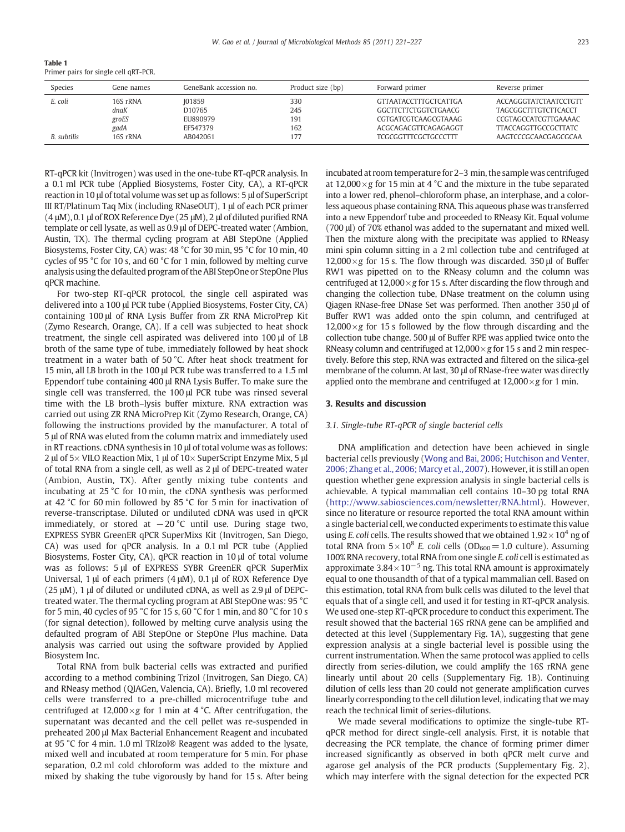<span id="page-2-0"></span>gene expression and the supersystem of  $\mathcal{L}_{\mathcal{S}}$  is a supersystem of  $\mathcal{L}_{\mathcal{S}}$ Table 1 Primer pairs for single cell qRT-PCR.

| Species     | Gene names | GeneBank accession no. | Product size (bp) | Forward primer               | Reverse primer              |
|-------------|------------|------------------------|-------------------|------------------------------|-----------------------------|
| E. coli     | 16S rRNA   | J01859                 | 330               | <b>GTTAATACCTTTGCTCATTGA</b> | ACCAGGGTATCTAATCCTGTT       |
|             | dnaK       | D <sub>10765</sub>     | 245               | <b>GGCTTCTTCTGGTCTGAACG</b>  | <b>TAGCGGCTTTGTCTTCACCT</b> |
|             | groES      | EU890979               | 191               | CGTGATCGTCAAGCGTAAAG         | CCGTAGCCATCGTTGAAAAC        |
|             | gadA       | EF547379               | 162               | ACGCAGACGTTCAGAGAGGT         | TTACCAGGTTGCCGCTTATC        |
| B. subtilis | 16S rRNA   | AB042061               | 177               | <b>TCGCGGTTTCGCTGCCCTTT</b>  | AAGTCCCGCAACGAGCGCAA        |

RT-qPCR kit (Invitrogen) was used in the one-tube RT-qPCR analysis. In a 0.1 ml PCR tube (Applied Biosystems, Foster City, CA), a RT-qPCR reaction in 10 μl of total volume was set up as follows: 5 μl of SuperScript III RT/Platinum Taq Mix (including RNaseOUT), 1 μl of each PCR primer (4 μM), 0.1 μl of ROX Reference Dye (25 μM), 2 μl of diluted purified RNA template or cell lysate, as well as 0.9 μl of DEPC-treated water (Ambion, Austin, TX). The thermal cycling program at ABI StepOne (Applied Biosystems, Foster City, CA) was: 48 °C for 30 min, 95 °C for 10 min, 40 cycles of 95 °C for 10 s, and 60 °C for 1 min, followed by melting curve analysis using the defaulted program of the ABI StepOne or StepOne Plus qPCR machine.

For two-step RT-qPCR protocol, the single cell aspirated was delivered into a 100 μl PCR tube (Applied Biosystems, Foster City, CA) containing 100 μl of RNA Lysis Buffer from ZR RNA MicroPrep Kit (Zymo Research, Orange, CA). If a cell was subjected to heat shock treatment, the single cell aspirated was delivered into 100 μl of LB broth of the same type of tube, immediately followed by heat shock treatment in a water bath of 50 °C. After heat shock treatment for 15 min, all LB broth in the 100 μl PCR tube was transferred to a 1.5 ml Eppendorf tube containing 400 μl RNA Lysis Buffer. To make sure the single cell was transferred, the 100 μl PCR tube was rinsed several time with the LB broth–lysis buffer mixture. RNA extraction was carried out using ZR RNA MicroPrep Kit (Zymo Research, Orange, CA) following the instructions provided by the manufacturer. A total of 5 μl of RNA was eluted from the column matrix and immediately used in RT reactions. cDNA synthesis in 10 μl of total volume was as follows: 2 μl of 5× VILO Reaction Mix, 1 μl of 10× SuperScript Enzyme Mix, 5 μl of total RNA from a single cell, as well as 2 μl of DEPC-treated water (Ambion, Austin, TX). After gently mixing tube contents and incubating at 25 °C for 10 min, the cDNA synthesis was performed at 42 °C for 60 min followed by 85 °C for 5 min for inactivation of reverse-transcriptase. Diluted or undiluted cDNA was used in qPCR immediately, or stored at  $-20$  °C until use. During stage two, EXPRESS SYBR GreenER qPCR SuperMixs Kit (Invitrogen, San Diego, CA) was used for qPCR analysis. In a 0.1 ml PCR tube (Applied Biosystems, Foster City, CA), qPCR reaction in 10 μl of total volume was as follows: 5 μl of EXPRESS SYBR GreenER qPCR SuperMix Universal, 1 μl of each primers (4 μM), 0.1 μl of ROX Reference Dye (25 μM), 1 μl of diluted or undiluted cDNA, as well as 2.9 μl of DEPCtreated water. The thermal cycling program at ABI StepOne was: 95 °C for 5 min, 40 cycles of 95 °C for 15 s, 60 °C for 1 min, and 80 °C for 10 s (for signal detection), followed by melting curve analysis using the defaulted program of ABI StepOne or StepOne Plus machine. Data analysis was carried out using the software provided by Applied Biosystem Inc.

Total RNA from bulk bacterial cells was extracted and purified according to a method combining Trizol (Invitrogen, San Diego, CA) and RNeasy method (QIAGen, Valencia, CA). Briefly, 1.0 ml recovered cells were transferred to a pre-chilled microcentrifuge tube and centrifuged at  $12,000 \times g$  for 1 min at 4 °C. After centrifugation, the supernatant was decanted and the cell pellet was re-suspended in preheated 200 μl Max Bacterial Enhancement Reagent and incubated at 95 °C for 4 min. 1.0 ml TRIzol® Reagent was added to the lysate, mixed well and incubated at room temperature for 5 min. For phase separation, 0.2 ml cold chloroform was added to the mixture and mixed by shaking the tube vigorously by hand for 15 s. After being incubated at room temperature for 2–3 min, the sample was centrifuged at  $12,000 \times g$  for 15 min at 4 °C and the mixture in the tube separated into a lower red, phenol–chloroform phase, an interphase, and a colorless aqueous phase containing RNA. This aqueous phase was transferred into a new Eppendorf tube and proceeded to RNeasy Kit. Equal volume (700 μl) of 70% ethanol was added to the supernatant and mixed well. Then the mixture along with the precipitate was applied to RNeasy mini spin column sitting in a 2 ml collection tube and centrifuged at  $12,000 \times g$  for 15 s. The flow through was discarded. 350 μl of Buffer RW1 was pipetted on to the RNeasy column and the column was centrifuged at  $12,000 \times g$  for 15 s. After discarding the flow through and changing the collection tube, DNase treatment on the column using Qiagen RNase-free DNase Set was performed. Then another 350 μl of Buffer RW1 was added onto the spin column, and centrifuged at  $12,000 \times g$  for 15 s followed by the flow through discarding and the collection tube change. 500 μl of Buffer RPE was applied twice onto the RNeasy column and centrifuged at  $12,000 \times g$  for 15 s and 2 min respectively. Before this step, RNA was extracted and filtered on the silica-gel membrane of the column. At last, 30 μl of RNase-free water was directly applied onto the membrane and centrifuged at  $12,000 \times g$  for 1 min.

#### 3. Results and discussion

# 3.1. Single-tube RT-qPCR of single bacterial cells

DNA amplification and detection have been achieved in single bacterial cells previously ([Wong and Bai, 2006; Hutchison and Venter,](#page-6-0) [2006; Zhang et al., 2006; Marcy et al., 2007](#page-6-0)). However, it is still an open question whether gene expression analysis in single bacterial cells is achievable. A typical mammalian cell contains 10–30 pg total RNA [\(http://www.sabiosciences.com/newsletter/RNA.html\)](http://www.sabiosciences.com/newsletter/RNA.html). However, since no literature or resource reported the total RNA amount within a single bacterial cell, we conducted experiments to estimate this value using E, coli cells. The results showed that we obtained  $1.92 \times 10^4$  ng of total RNA from  $5 \times 10^8$  E. coli cells (OD<sub>600</sub> = 1.0 culture). Assuming 100% RNA recovery, total RNA from one single E. coli cell is estimated as approximate  $3.84 \times 10^{-5}$  ng. This total RNA amount is approximately equal to one thousandth of that of a typical mammalian cell. Based on this estimation, total RNA from bulk cells was diluted to the level that equals that of a single cell, and used it for testing in RT-qPCR analysis. We used one-step RT-qPCR procedure to conduct this experiment. The result showed that the bacterial 16S rRNA gene can be amplified and detected at this level (Supplementary Fig. 1A), suggesting that gene expression analysis at a single bacterial level is possible using the current instrumentation. When the same protocol was applied to cells directly from series-dilution, we could amplify the 16S rRNA gene linearly until about 20 cells (Supplementary Fig. 1B). Continuing dilution of cells less than 20 could not generate amplification curves linearly corresponding to the cell dilution level, indicating that we may reach the technical limit of series-dilutions.

We made several modifications to optimize the single-tube RTqPCR method for direct single-cell analysis. First, it is notable that decreasing the PCR template, the chance of forming primer dimer increased significantly as observed in both qPCR melt curve and agarose gel analysis of the PCR products (Supplementary Fig. 2), which may interfere with the signal detection for the expected PCR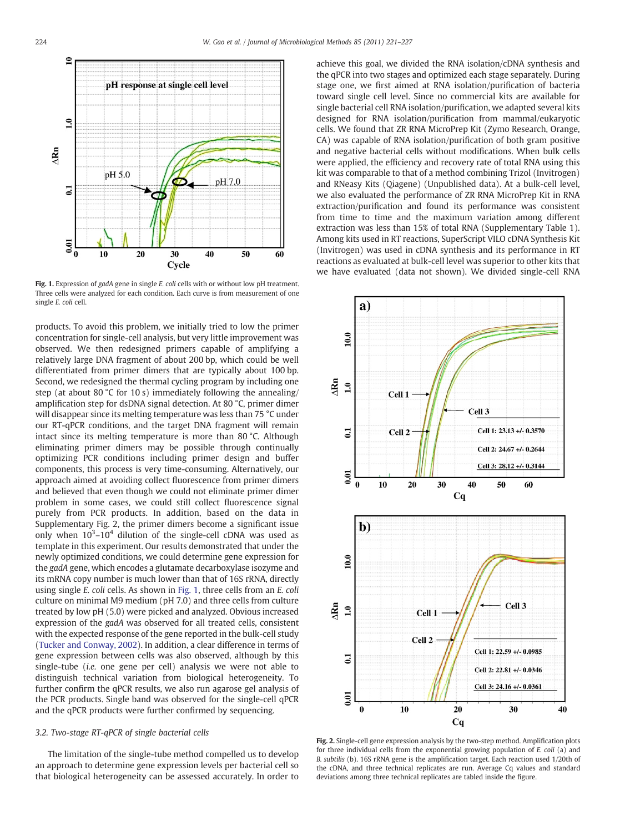<span id="page-3-0"></span>

Fig. 1. Expression of gadA gene in single E. coli cells with or without low pH treatment. Three cells were analyzed for each condition. Each curve is from measurement of one single E. coli cell.

products. To avoid this problem, we initially tried to low the primer concentration for single-cell analysis, but very little improvement was observed. We then redesigned primers capable of amplifying a relatively large DNA fragment of about 200 bp, which could be well differentiated from primer dimers that are typically about 100 bp. Second, we redesigned the thermal cycling program by including one step (at about 80 °C for 10 s) immediately following the annealing/ amplification step for dsDNA signal detection. At 80 °C, primer dimer will disappear since its melting temperature was less than 75 °C under our RT-qPCR conditions, and the target DNA fragment will remain intact since its melting temperature is more than 80 °C. Although eliminating primer dimers may be possible through continually optimizing PCR conditions including primer design and buffer components, this process is very time-consuming. Alternatively, our approach aimed at avoiding collect fluorescence from primer dimers and believed that even though we could not eliminate primer dimer problem in some cases, we could still collect fluorescence signal purely from PCR products. In addition, based on the data in Supplementary Fig. 2, the primer dimers become a significant issue only when  $10^3$ -10<sup>4</sup> dilution of the single-cell cDNA was used as template in this experiment. Our results demonstrated that under the newly optimized conditions, we could determine gene expression for the gadA gene, which encodes a glutamate decarboxylase isozyme and its mRNA copy number is much lower than that of 16S rRNA, directly using single E. coli cells. As shown in Fig. 1, three cells from an E. coli culture on minimal M9 medium (pH 7.0) and three cells from culture treated by low pH (5.0) were picked and analyzed. Obvious increased expression of the gadA was observed for all treated cells, consistent with the expected response of the gene reported in the bulk-cell study [\(Tucker and Conway, 2002\)](#page-6-0). In addition, a clear difference in terms of gene expression between cells was also observed, although by this single-tube (i.e. one gene per cell) analysis we were not able to distinguish technical variation from biological heterogeneity. To further confirm the qPCR results, we also run agarose gel analysis of the PCR products. Single band was observed for the single-cell qPCR and the qPCR products were further confirmed by sequencing.

# 3.2. Two-stage RT-qPCR of single bacterial cells

The limitation of the single-tube method compelled us to develop an approach to determine gene expression levels per bacterial cell so that biological heterogeneity can be assessed accurately. In order to achieve this goal, we divided the RNA isolation/cDNA synthesis and the qPCR into two stages and optimized each stage separately. During stage one, we first aimed at RNA isolation/purification of bacteria toward single cell level. Since no commercial kits are available for single bacterial cell RNA isolation/purification, we adapted several kits designed for RNA isolation/purification from mammal/eukaryotic cells. We found that ZR RNA MicroPrep Kit (Zymo Research, Orange, CA) was capable of RNA isolation/purification of both gram positive and negative bacterial cells without modifications. When bulk cells were applied, the efficiency and recovery rate of total RNA using this kit was comparable to that of a method combining Trizol (Invitrogen) and RNeasy Kits (Qiagene) (Unpublished data). At a bulk-cell level, we also evaluated the performance of ZR RNA MicroPrep Kit in RNA extraction/purification and found its performance was consistent from time to time and the maximum variation among different extraction was less than 15% of total RNA (Supplementary Table 1). Among kits used in RT reactions, SuperScript VILO cDNA Synthesis Kit (Invitrogen) was used in cDNA synthesis and its performance in RT reactions as evaluated at bulk-cell level was superior to other kits that we have evaluated (data not shown). We divided single-cell RNA



Fig. 2. Single-cell gene expression analysis by the two-step method. Amplification plots for three individual cells from the exponential growing population of E. coli (a) and B. subtilis (b). 16S rRNA gene is the amplification target. Each reaction used 1/20th of the cDNA, and three technical replicates are run. Average Cq values and standard deviations among three technical replicates are tabled inside the figure.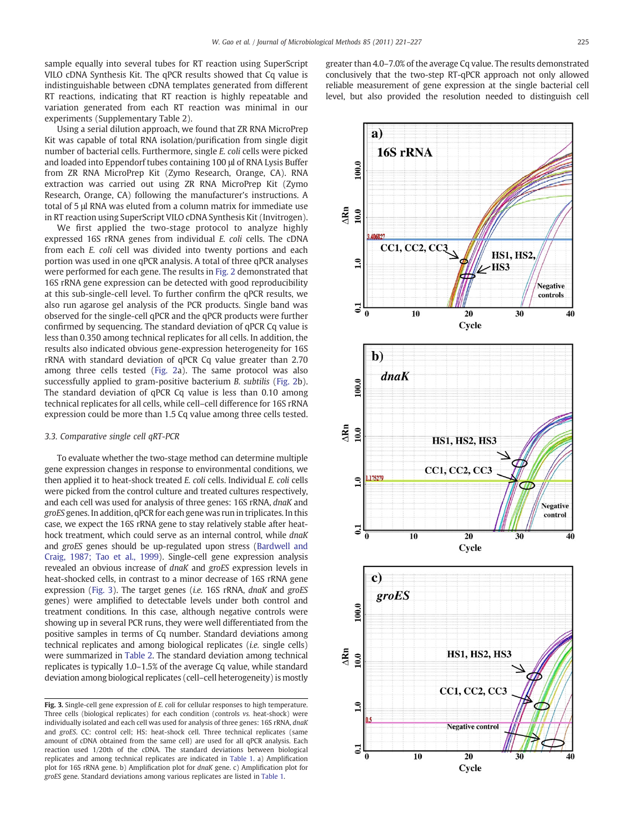sample equally into several tubes for RT reaction using SuperScript VILO cDNA Synthesis Kit. The qPCR results showed that Cq value is indistinguishable between cDNA templates generated from different RT reactions, indicating that RT reaction is highly repeatable and variation generated from each RT reaction was minimal in our experiments (Supplementary Table 2).

Using a serial dilution approach, we found that ZR RNA MicroPrep Kit was capable of total RNA isolation/purification from single digit number of bacterial cells. Furthermore, single E. coli cells were picked and loaded into Eppendorf tubes containing 100 μl of RNA Lysis Buffer from ZR RNA MicroPrep Kit (Zymo Research, Orange, CA). RNA extraction was carried out using ZR RNA MicroPrep Kit (Zymo Research, Orange, CA) following the manufacturer's instructions. A total of 5 μl RNA was eluted from a column matrix for immediate use in RT reaction using SuperScript VILO cDNA Synthesis Kit (Invitrogen).

We first applied the two-stage protocol to analyze highly expressed 16S rRNA genes from individual E. coli cells. The cDNA from each E. coli cell was divided into twenty portions and each portion was used in one qPCR analysis. A total of three qPCR analyses were performed for each gene. The results in [Fig. 2](#page-3-0) demonstrated that 16S rRNA gene expression can be detected with good reproducibility at this sub-single-cell level. To further confirm the qPCR results, we also run agarose gel analysis of the PCR products. Single band was observed for the single-cell qPCR and the qPCR products were further confirmed by sequencing. The standard deviation of qPCR Cq value is less than 0.350 among technical replicates for all cells. In addition, the results also indicated obvious gene-expression heterogeneity for 16S rRNA with standard deviation of qPCR Cq value greater than 2.70 among three cells tested [\(Fig. 2](#page-3-0)a). The same protocol was also successfully applied to gram-positive bacterium B. subtilis ([Fig. 2b](#page-3-0)). The standard deviation of qPCR Cq value is less than 0.10 among technical replicates for all cells, while cell–cell difference for 16S rRNA expression could be more than 1.5 Cq value among three cells tested.

# 3.3. Comparative single cell qRT-PCR

To evaluate whether the two-stage method can determine multiple gene expression changes in response to environmental conditions, we then applied it to heat-shock treated E. coli cells. Individual E. coli cells were picked from the control culture and treated cultures respectively, and each cell was used for analysis of three genes: 16S rRNA, dnaK and groES genes. In addition, qPCR for each gene was run in triplicates. In this case, we expect the 16S rRNA gene to stay relatively stable after heathock treatment, which could serve as an internal control, while dnaK and groES genes should be up-regulated upon stress [\(Bardwell and](#page-6-0) [Craig, 1987; Tao et al., 1999](#page-6-0)). Single-cell gene expression analysis revealed an obvious increase of dnaK and groES expression levels in heat-shocked cells, in contrast to a minor decrease of 16S rRNA gene expression (Fig. 3). The target genes (i.e. 16S rRNA, dnaK and groES genes) were amplified to detectable levels under both control and treatment conditions. In this case, although negative controls were showing up in several PCR runs, they were well differentiated from the positive samples in terms of Cq number. Standard deviations among technical replicates and among biological replicates (i.e. single cells) were summarized in [Table 2](#page-5-0). The standard deviation among technical replicates is typically 1.0–1.5% of the average Cq value, while standard deviation among biological replicates (cell–cell heterogeneity) is mostly greater than 4.0–7.0% of the average Cq value. The results demonstrated conclusively that the two-step RT-qPCR approach not only allowed reliable measurement of gene expression at the single bacterial cell level, but also provided the resolution needed to distinguish cell



Fig. 3. Single-cell gene expression of E, coli for cellular responses to high temperature. Three cells (biological replicates) for each condition (controls vs. heat-shock) were individually isolated and each cell was used for analysis of three genes: 16S rRNA, dnaK and groES. CC: control cell; HS: heat-shock cell. Three technical replicates (same amount of cDNA obtained from the same cell) are used for all qPCR analysis. Each reaction used 1/20th of the cDNA. The standard deviations between biological replicates and among technical replicates are indicated in [Table 1](#page-2-0). a) Amplification plot for 16S rRNA gene. b) Amplification plot for dnaK gene. c) Amplification plot for groES gene. Standard deviations among various replicates are listed in [Table 1](#page-2-0).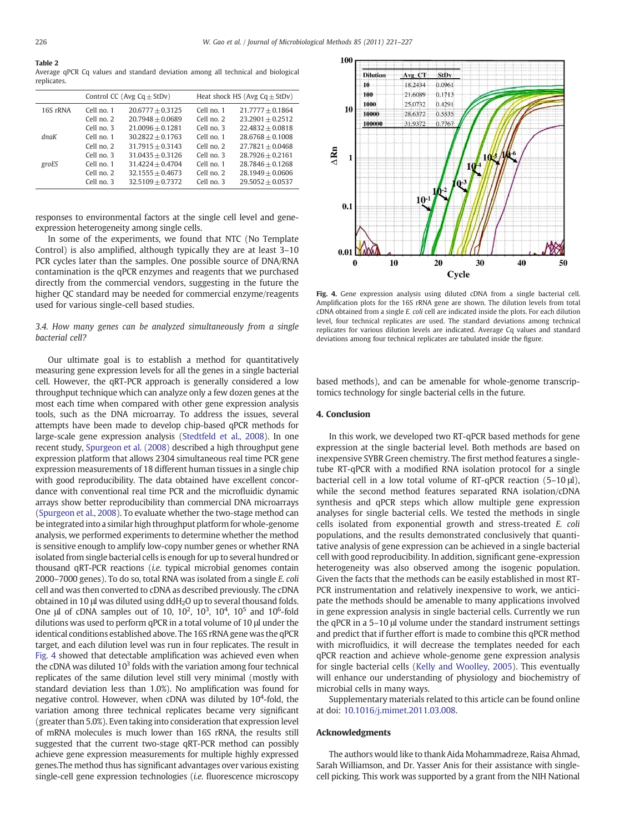#### <span id="page-5-0"></span>Table 2

Average qPCR Cq values and standard deviation among all technical and biological replicates.

|          | Control CC (Avg $Cq \pm StDv$ ) |                    | Heat shock HS (Avg $Cq \pm StDv$ ) |                    |
|----------|---------------------------------|--------------------|------------------------------------|--------------------|
| 16S rRNA | Cell no. 1                      | $20.6777 + 0.3125$ | Cell no. 1                         | $21.7777 + 0.1864$ |
|          | Cell no. 2                      | $20.7948 + 0.0689$ | Cell no. 2                         | $23.2901 + 0.2512$ |
|          | Cell no. 3                      | $21.0096 + 0.1281$ | Cell no. 3                         | $22.4832 + 0.0818$ |
| dnaK     | Cell no. 1                      | $30.2822 + 0.1763$ | Cell no. 1                         | $28.6768 + 0.1008$ |
|          | Cell no. 2                      | $31.7915 + 0.3143$ | Cell no. 2                         | $27.7821 + 0.0468$ |
|          | Cell no. 3                      | $31.0435 + 0.3126$ | Cell no. 3                         | $28.7926 + 0.2161$ |
| groES    | Cell no. 1                      | $31.4224 + 0.4704$ | Cell no. 1                         | $28.7846 + 0.1268$ |
|          | Cell no. 2                      | $32.1555 + 0.4673$ | Cell no. 2                         | $28.1949 + 0.0606$ |
|          | Cell no. 3                      | $32.5109 + 0.7372$ | Cell no. 3                         | $29.5052 + 0.0537$ |

responses to environmental factors at the single cell level and geneexpression heterogeneity among single cells.

In some of the experiments, we found that NTC (No Template Control) is also amplified, although typically they are at least 3–10 PCR cycles later than the samples. One possible source of DNA/RNA contamination is the qPCR enzymes and reagents that we purchased directly from the commercial vendors, suggesting in the future the higher QC standard may be needed for commercial enzyme/reagents used for various single-cell based studies.

3.4. How many genes can be analyzed simultaneously from a single bacterial cell?

Our ultimate goal is to establish a method for quantitatively measuring gene expression levels for all the genes in a single bacterial cell. However, the qRT-PCR approach is generally considered a low throughput technique which can analyze only a few dozen genes at the most each time when compared with other gene expression analysis tools, such as the DNA microarray. To address the issues, several attempts have been made to develop chip-based qPCR methods for large-scale gene expression analysis [\(Stedtfeld et al., 2008\)](#page-6-0). In one recent study, [Spurgeon et al. \(2008\)](#page-6-0) described a high throughput gene expression platform that allows 2304 simultaneous real time PCR gene expression measurements of 18 different human tissues in a single chip with good reproducibility. The data obtained have excellent concordance with conventional real time PCR and the microfluidic dynamic arrays show better reproducibility than commercial DNA microarrays [\(Spurgeon et al., 2008\)](#page-6-0). To evaluate whether the two-stage method can be integrated into a similar high throughput platform for whole-genome analysis, we performed experiments to determine whether the method is sensitive enough to amplify low-copy number genes or whether RNA isolated from single bacterial cells is enough for up to several hundred or thousand qRT-PCR reactions (i.e. typical microbial genomes contain 2000–7000 genes). To do so, total RNA was isolated from a single E. coli cell and was then converted to cDNA as described previously. The cDNA obtained in 10 μl was diluted using ddH<sub>2</sub>O up to several thousand folds. One µl of cDNA samples out of 10,  $10^2$ ,  $10^3$ ,  $10^4$ ,  $10^5$  and  $10^6$ -fold dilutions was used to perform qPCR in a total volume of 10 μl under the identical conditions established above. The 16S rRNA gene was the qPCR target, and each dilution level was run in four replicates. The result in Fig. 4 showed that detectable amplification was achieved even when the cDNA was diluted  $10<sup>3</sup>$  folds with the variation among four technical replicates of the same dilution level still very minimal (mostly with standard deviation less than 1.0%). No amplification was found for negative control. However, when cDNA was diluted by 10<sup>4</sup>-fold, the variation among three technical replicates became very significant (greater than 5.0%). Even taking into consideration that expression level of mRNA molecules is much lower than 16S rRNA, the results still suggested that the current two-stage qRT-PCR method can possibly achieve gene expression measurements for multiple highly expressed genes.The method thus has significant advantages over various existing single-cell gene expression technologies (i.e. fluorescence microscopy



Fig. 4. Gene expression analysis using diluted cDNA from a single bacterial cell. Amplification plots for the 16S rRNA gene are shown. The dilution levels from total cDNA obtained from a single E. coli cell are indicated inside the plots. For each dilution level, four technical replicates are used. The standard deviations among technical replicates for various dilution levels are indicated. Average Cq values and standard deviations among four technical replicates are tabulated inside the figure.

based methods), and can be amenable for whole-genome transcriptomics technology for single bacterial cells in the future.

### 4. Conclusion

In this work, we developed two RT-qPCR based methods for gene expression at the single bacterial level. Both methods are based on inexpensive SYBR Green chemistry. The first method features a singletube RT-qPCR with a modified RNA isolation protocol for a single bacterial cell in a low total volume of RT-qPCR reaction (5–10 μl), while the second method features separated RNA isolation/cDNA synthesis and qPCR steps which allow multiple gene expression analyses for single bacterial cells. We tested the methods in single cells isolated from exponential growth and stress-treated E. coli populations, and the results demonstrated conclusively that quantitative analysis of gene expression can be achieved in a single bacterial cell with good reproducibility. In addition, significant gene-expression heterogeneity was also observed among the isogenic population. Given the facts that the methods can be easily established in most RT-PCR instrumentation and relatively inexpensive to work, we anticipate the methods should be amenable to many applications involved in gene expression analysis in single bacterial cells. Currently we run the qPCR in a 5–10 μl volume under the standard instrument settings and predict that if further effort is made to combine this qPCR method with microfluidics, it will decrease the templates needed for each qPCR reaction and achieve whole-genome gene expression analysis for single bacterial cells ([Kelly and Woolley, 2005](#page-6-0)). This eventually will enhance our understanding of physiology and biochemistry of microbial cells in many ways.

Supplementary materials related to this article can be found online at doi: 10.1016/j.mimet.2011.03.008.

# Acknowledgments

The authors would like to thank Aida Mohammadreze, Raisa Ahmad, Sarah Williamson, and Dr. Yasser Anis for their assistance with singlecell picking. This work was supported by a grant from the NIH National